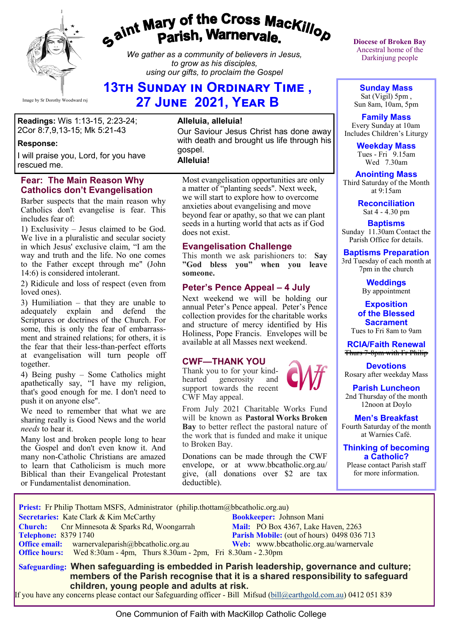

# gaint Mary of the Cross Mackillop<br>Parish, Warnervale.

*We gather as a community of believers in Jesus, to grow as his disciples, using our gifts, to proclaim the Gospel*

# **13th Sunday in Ordinary Time , 27 June 2021, Year B**

**Readings:** Wis 1:13-15, 2:23-24; 2Cor 8:7,9,13-15; Mk 5:21-43

#### **Response:**

I will praise you, Lord, for you have rescued me.

#### **Fear: The Main Reason Why Catholics don't Evangelisation**

Barber suspects that the main reason why Catholics don't evangelise is fear. This includes fear of:

1) Exclusivity – Jesus claimed to be God. We live in a pluralistic and secular society in which Jesus' exclusive claim, "I am the way and truth and the life. No one comes to the Father except through me" (John 14:6) is considered intolerant.

2) Ridicule and loss of respect (even from loved ones).

3) Humiliation – that they are unable to adequately explain and defend the Scriptures or doctrines of the Church. For some, this is only the fear of embarrassment and strained relations; for others, it is the fear that their less-than-perfect efforts at evangelisation will turn people off together.

4) Being pushy – Some Catholics might apathetically say, "I have my religion, that's good enough for me. I don't need to push it on anyone else".

We need to remember that what we are sharing really is Good News and the world *needs* to hear it.

Many lost and broken people long to hear the Gospel and don't even know it. And many non-Catholic Christians are amazed to learn that Catholicism is much more Biblical than their Evangelical Protestant or Fundamentalist denomination.

#### **Alleluia, alleluia!**

Our Saviour Jesus Christ has done away with death and brought us life through his gospel.

**Alleluia!**

Most evangelisation opportunities are only a matter of "planting seeds". Next week, we will start to explore how to overcome anxieties about evangelising and move beyond fear or apathy, so that we can plant seeds in a hurting world that acts as if God does not exist.

#### **Evangelisation Challenge**

This month we ask parishioners to: **Say "God bless you" when you leave someone.** 

#### **Peter's Pence Appeal – 4 July**

Next weekend we will be holding our annual Peter's Pence appeal. Peter's Pence collection provides for the charitable works and structure of mercy identified by His Holiness, Pope Francis. Envelopes will be available at all Masses next weekend.

#### **CWF—THANK YOU**

Thank you to for your kindhearted generosity and support towards the recent CWF May appeal.

From July 2021 Charitable Works Fund will be known as **Pastoral Works Broken Bay** to better reflect the pastoral nature of the work that is funded and make it unique to Broken Bay.

Donations can be made through the CWF envelope, or at www.bbcatholic.org.au/ give, (all donations over \$2 are tax deductible).

**Diocese of Broken Bay**  Ancestral home of the Darkinjung people

**Sunday Mass** Sat (Vigil) 5pm , Sun 8am, 10am, 5pm

**Family Mass**  Every Sunday at 10am Includes Children's Liturgy

> **Weekday Mass** Tues - Fri 9.15am Wed 7.30am

**Anointing Mass** Third Saturday of the Month at 9:15am

> **Reconciliation** Sat 4 - 4.30 pm

**Baptisms** Sunday 11.30am Contact the Parish Office for details.

**Baptisms Preparation** 3rd Tuesday of each month at

> 7pm in the church **Weddings**

By appointment

**Exposition of the Blessed Sacrament** Tues to Fri 8am to 9am

**RCIA/Faith Renewal**  Thurs 7-8pm with Fr Philip

**Devotions** Rosary after weekday Mass

**Parish Luncheon** 2nd Thursday of the month 12noon at Doylo

**Men's Breakfast** Fourth Saturday of the month at Warnies Café.

**Thinking of becoming a Catholic?**

Please contact Parish staff for more information.

**Priest:** Fr Philip Thottam MSFS, Administrator (philip.thottam@bbcatholic.org.au)

 **Secretaries:** Kate Clark & Kim McCarthy **Bookkeeper:** Johnson Mani

**Church:** Cnr Minnesota & Sparks Rd, Woongarrah **Mail:** PO Box 4367, Lake Haven, 2263<br> **Telephone:** 8379 1740 **Parish Mobile:** (out of hours) 0498 036 **Office email:** warnervaleparish@bbcatholic.org.au **Web:** [www.bbcatholic.org.au/warnervale](https://www.bbcatholic.org.au/warnervale)  **Office hours:** Wed 8:30am - 4pm, Thurs 8.30am - 2pm, Fri 8.30am - 2.30pm

**Parish Mobile:** (out of hours) 0498 036 713

 **Safeguarding: When safeguarding is embedded in Parish leadership, governance and culture; members of the Parish recognise that it is a shared responsibility to safeguard children, young people and adults at risk.**

If you have any concerns please contact our Safeguarding officer - Bill Mifsud ([bill@earthgold.com.au\)](mailto:bill@earthgold.com.au) 0412 051 839